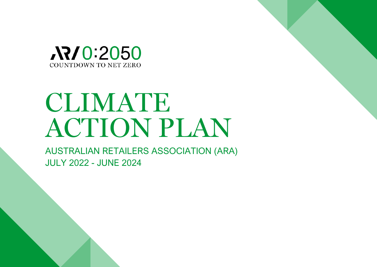

## CLIMATE ACTION PLAN

AUSTRALIAN RETAILERS ASSOCIATION (ARA) JULY 2022 - JUNE 2024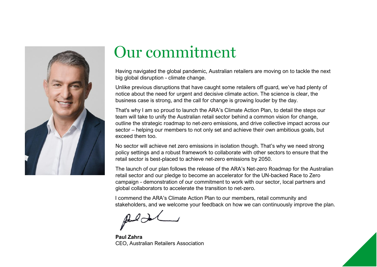

## Our commitment

Having navigated the global pandemic, Australian retailers are moving on to tackle the next big global disruption - climate change.

Unlike previous disruptions that have caught some retailers off guard, we've had plenty of notice about the need for urgent and decisive climate action. The science is clear, the business case is strong, and the call for change is growing louder by the day.

That's why I am so proud to launch the ARA's Climate Action Plan, to detail the steps our team will take to unify the Australian retail sector behind a common vision for change, outline the strategic roadmap to net-zero emissions, and drive collective impact across our sector – helping our members to not only set and achieve their own ambitious goals, but exceed them too.

No sector will achieve net zero emissions in isolation though. That's why we need strong policy settings and a robust framework to collaborate with other sectors to ensure that the retail sector is best-placed to achieve net-zero emissions by 2050.

The launch of our plan follows the release of the ARA's Net-zero Roadmap for the Australian retail sector and our pledge to become an accelerator for the UN-backed Race to Zero campaign - demonstration of our commitment to work with our sector, local partners and global collaborators to accelerate the transition to net-zero.

I commend the ARA's Climate Action Plan to our members, retail community and stakeholders, and we welcome your feedback on how we can continuously improve the plan.

**Paul Zahra** CEO, Australian Retailers Association

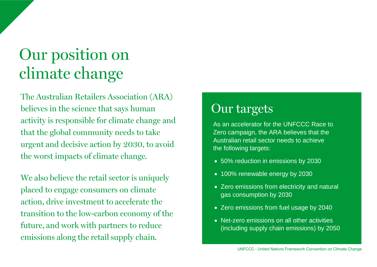## Our position on climate change

The Australian Retailers Association (ARA) believes in the science that says human activity is responsible for climate change and that the global community needs to take urgent and decisive action by 2030, to avoid the worst impacts of climate change.

We also believe the retail sector is uniquely placed to engage consumers on climate action, drive investment to accelerate the transition to the low-carbon economy of the future, and work with partners to reduce emissions along the retail supply chain.

#### Our targets

As an accelerator for the UNFCCC Race to Zero campaign, the ARA believes that the Australian retail sector needs to achieve the following targets:

- 50% reduction in emissions by 2030
- 100% renewable energy by 2030
- Zero emissions from electricity and natural gas consumption by 2030
- Zero emissions from fuel usage by 2040
- Net-zero emissions on all other activities (including supply chain emissions) by 2050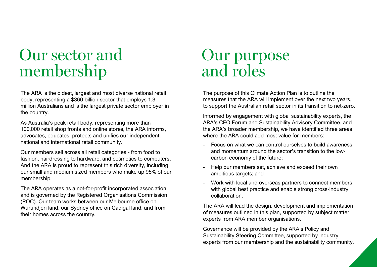## **Our sector and** membership

The ARA is the oldest, largest and most diverse national retail body, representing a \$360 billion sector that employs 1.3 million Australians and is the largest private sector employer in the country.

As Australia's peak retail body, representing more than 100,000 retail shop fronts and online stores, the ARA informs, advocates, educates, protects and unifies our independent, national and international retail community.

Our members sell across all retail categories - from food to fashion, hairdressing to hardware, and cosmetics to computers. And the ARA is proud to represent this rich diversity, including our small and medium sized members who make up 95% of our membership.

The ARA operates as a not-for-profit incorporated association and is governed by the Registered Organisations Commission (ROC). Our team works between our Melbourne office on Wurundjeri land, our Sydney office on Gadigal land, and from their homes across the country.

# Our purpose<br>and roles

The purpose of this Climate Action Plan is to outline the measures that the ARA will implement over the next two years, to support the Australian retail sector in its transition to net-zero.

Informed by engagement with global sustainability experts, the ARA's CEO Forum and Sustainability Advisory Committee, and the ARA's broader membership, we have identified three areas where the ARA could add most value for members:

- Focus on what we can control ourselves to build awareness and momentum around the sector's transition to the lowcarbon economy of the future;
- Help our members set, achieve and exceed their own ambitious targets; and
- Work with local and overseas partners to connect members with global best practice and enable strong cross-industry collaboration.

The ARA will lead the design, development and implementation of measures outlined in this plan, supported by subject matter experts from ARA member organisations.

Governance will be provided by the ARA's Policy and Sustainability Steering Committee, supported by industry experts from our membership and the sustainability community.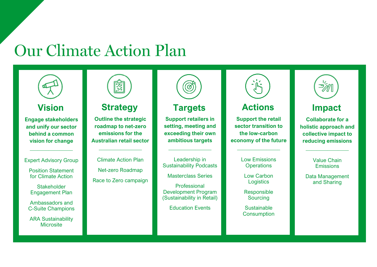## **Our Climate Action Plan**



#### **Vision**

**Engage stakeholders and unify our sector behind a common vision for change**

Expert Advisory Group

 $\overline{\phantom{a}}$  , where  $\overline{\phantom{a}}$ 

Position Statement for Climate Action

**Stakeholder** Engagement Plan

Ambassadors and C-Suite Champions

ARA Sustainability **Microsite** 



**Outline the strategic roadmap to net-zero emissions for the Australian retail sector**

**Strategy**

Climate Action Plan Net-zero Roadmap Race to Zero campaign

 $\overline{\phantom{a}}$  , where  $\overline{\phantom{a}}$ 



#### **Targets**

**Support retailers in setting, meeting and exceeding their own ambitious targets**

Leadership in Sustainability Podcasts

 $\overline{\phantom{a}}$  , where  $\overline{\phantom{a}}$ 

Masterclass Series

Professional Development Program (Sustainability in Retail)

Education Events



#### **Actions**

**Support the retail sector transition to the low-carbon economy of the future**

 $\overline{\phantom{a}}$  , where  $\overline{\phantom{a}}$ 

Low Emissions **Operations** 

Low Carbon **Logistics** 

Responsible **Sourcing** 

Sustainable **Consumption** 



#### **Impact**

**Collaborate for a holistic approach and collective impact to reducing emissions**

> Value Chain **Emissions**

 $\overline{\phantom{a}}$  , where  $\overline{\phantom{a}}$ 

Data Management and Sharing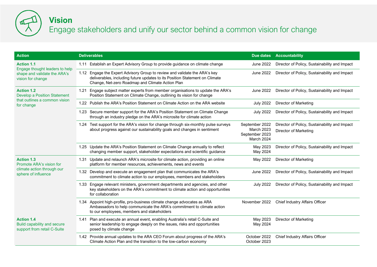

#### **Vision**

#### Engage stakeholders and unify our sector behind a common vision for change

| <b>Action</b>                                                                                            | <b>Deliverables</b>                                                                                                                                                                                           |                                                              | Due dates Accountability                                               |
|----------------------------------------------------------------------------------------------------------|---------------------------------------------------------------------------------------------------------------------------------------------------------------------------------------------------------------|--------------------------------------------------------------|------------------------------------------------------------------------|
| <b>Action 1.1</b><br>Engage thought leaders to help<br>shape and validate the ARA's<br>vision for change | 1.11 Establish an Expert Advisory Group to provide guidance on climate change                                                                                                                                 | June 2022                                                    | Director of Policy, Sustainability and Impact                          |
|                                                                                                          | 1.12 Engage the Expert Advisory Group to review and validate the ARA's key<br>deliverables, including future updates to its Position Statement on Climate<br>Change, Net-zero Roadmap and Climate Action Plan | June 2022                                                    | Director of Policy, Sustainability and Impact                          |
| <b>Action 1.2</b><br><b>Develop a Position Statement</b><br>that outlines a common vision<br>for change  | 1.21 Engage subject matter experts from member organisations to update the ARA's<br>Position Statement on Climate Change, outlining its vision for change                                                     | June 2022                                                    | Director of Policy, Sustainability and Impact                          |
|                                                                                                          | 1.22 Publish the ARA's Position Statement on Climate Action on the ARA website                                                                                                                                | <b>July 2022</b>                                             | Director of Marketing                                                  |
|                                                                                                          | 1.23 Secure member support for the ARA's Position Statement on Climate Change<br>through an industry pledge on the ARA's microsite for climate action                                                         | <b>July 2022</b>                                             | Director of Policy, Sustainability and Impact                          |
|                                                                                                          | 1.24 Test support for the ARA's vision for change through six-monthly pulse surveys<br>about progress against our sustainability goals and changes in sentiment                                               | September 2022<br>March 2023<br>September 2023<br>March 2024 | Director of Policy, Sustainability and Impact<br>Director of Marketing |
|                                                                                                          | 1.25 Update the ARA's Position Statement on Climate Change annually to reflect<br>changing member support, stakeholder expectations and scientific guidance                                                   | May 2023<br>May 2024                                         | Director of Policy, Sustainability and Impact                          |
| <b>Action 1.3</b><br>Promote ARA's vision for<br>climate action through our<br>sphere of influence       | 1.31 Update and relaunch ARA's microsite for climate action, providing an online<br>platform for member resources, achievements, news and events                                                              | May 2022                                                     | Director of Marketing                                                  |
|                                                                                                          | 1.32 Develop and execute an engagement plan that communicates the ARA's<br>commitment to climate action to our employees, members and stakeholders                                                            | <b>June 2022</b>                                             | Director of Policy, Sustainability and Impact                          |
|                                                                                                          | 1.33 Engage relevant ministers, government departments and agencies, and other<br>key stakeholders on the ARA's commitment to climate action and opportunities<br>for collaboration                           | <b>July 2022</b>                                             | Director of Policy, Sustainability and Impact                          |
|                                                                                                          | 1.34 Appoint high-profile, pro-business climate change advocates as ARA<br>Ambassadors to help communicate the ARA's commitment to climate action<br>to our employees, members and stakeholders               | November 2022                                                | Chief Industry Affairs Officer                                         |
| <b>Action 1.4</b><br>Build capability and secure<br>support from retail C-Suite                          | 1.41 Plan and execute an annual event, enabling Australia's retail C-Suite and<br>senior leadership to engage deeply on the issues, risks and opportunities<br>posed by climate change                        | May 2023<br>May 2024                                         | Director of Marketing                                                  |
|                                                                                                          | 1.42 Provide annual updates to the ARA CEO Forum about progress of the ARA's<br>Climate Action Plan and the transition to the low-carbon economy                                                              | October 2022<br>October 2023                                 | Chief Industry Affairs Officer                                         |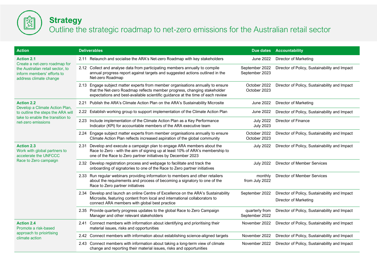

#### **Strategy**

#### Outline the strategic roadmap to net-zero emissions for the Australian retail sector

| <b>Action</b>                                                                                                                                  | <b>Deliverables</b>                                                                                                                                                                                                                           |                                      | Due dates Accountability                                               |
|------------------------------------------------------------------------------------------------------------------------------------------------|-----------------------------------------------------------------------------------------------------------------------------------------------------------------------------------------------------------------------------------------------|--------------------------------------|------------------------------------------------------------------------|
| <b>Action 2.1</b><br>Create a net-zero roadmap for<br>the Australian retail sector, to<br>inform members' efforts to<br>address climate change | 2.11 Relaunch and socialise the ARA's Net-zero Roadmap with key stakeholders                                                                                                                                                                  | <b>June 2022</b>                     | <b>Director of Marketing</b>                                           |
|                                                                                                                                                | 2.12 Collect and analyse data from participating members annually to compile<br>annual progress report against targets and suggested actions outlined in the<br>Net-zero Roadmap                                                              | September 2022<br>September 2023     | Director of Policy, Sustainability and Impact                          |
|                                                                                                                                                | 2.13 Engage subject matter experts from member organisations annually to ensure<br>that the Net-zero Roadmap reflects member progress, changing stakeholder<br>expectations and best-available scientific guidance at the time of each review | October 2022<br>October 2023         | Director of Policy, Sustainability and Impact                          |
| <b>Action 2.2</b><br>Develop a Climate Action Plan,                                                                                            | 2.21 Publish the ARA's Climate Action Plan on the ARA's Sustainability Microsite                                                                                                                                                              | <b>June 2022</b>                     | Director of Marketing                                                  |
| to outline the steps the ARA will                                                                                                              | 2.22 Establish working group to support implementation of the Climate Action Plan                                                                                                                                                             | <b>June 2022</b>                     | Director of Policy, Sustainability and Impact                          |
| take to enable the transition to<br>net-zero emissions                                                                                         | 2.23 Include implementation of the Climate Action Plan as a Key Performance<br>Indicator (KPI) for accountable members of the ARA executive team                                                                                              | <b>July 2022</b><br><b>July 2023</b> | Director of Finance                                                    |
|                                                                                                                                                | 2.24 Engage subject matter experts from member organisations annually to ensure<br>Climate Action Plan reflects increased aspiration of the global community                                                                                  | October 2022<br>October 2023         | Director of Policy, Sustainability and Impact                          |
| <b>Action 2.3</b><br>Work with global partners to<br>accelerate the UNFCCC<br>Race to Zero campaign                                            | Develop and execute a campaign plan to engage ARA members about the<br>2.31<br>Race to Zero - with the aim of signing up at least 10% of ARA's membership to<br>one of the Race to Zero partner initiatives by December 2023                  | <b>July 2022</b>                     | Director of Policy, Sustainability and Impact                          |
|                                                                                                                                                | 2.32 Develop registration process and webpage to facilitate and track the<br>onboarding of signatories to one of the Race to Zero partner initiatives                                                                                         | <b>July 2022</b>                     | Director of Member Services                                            |
|                                                                                                                                                | 2.33 Run regular webinars providing information to members and other retailers<br>about the requirements and process of becoming a signatory to one of the<br>Race to Zero partner initiatives                                                | monthly<br>from July 2022            | Director of Member Services                                            |
|                                                                                                                                                | 2.34 Develop and launch an online Centre of Excellence on the ARA's Sustainability<br>Microsite, featuring content from local and international collaborators to<br>connect ARA members with global best practice                             | September 2022                       | Director of Policy, Sustainability and Impact<br>Director of Marketing |
|                                                                                                                                                | 2.35 Provide quarterly progress updates to the global Race to Zero Campaign<br>Manager and other relevant stakeholders                                                                                                                        | quarterly from<br>September 2022     | Director of Policy, Sustainability and Impact                          |
| <b>Action 2.4</b><br>Promote a risk-based<br>approach to prioirtising<br>climate action                                                        | Connect members with information about identifying and prioritising their<br>2.41<br>material issues, risks and opportunities                                                                                                                 | November 2022                        | Director of Policy, Sustainability and Impact                          |
|                                                                                                                                                | 2.42 Connect members with information about establishing science-aligned targets                                                                                                                                                              | November 2022                        | Director of Policy, Sustainability and Impact                          |
|                                                                                                                                                | 2.43 Connect members with information about taking a long-term view of climate<br>change and reporting their material issues, risks and opportunities                                                                                         | November 2022                        | Director of Policy, Sustainability and Impact                          |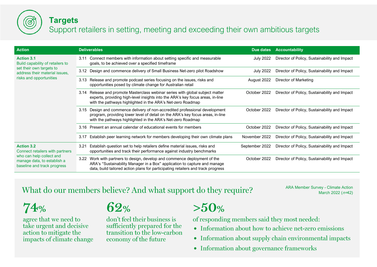

#### **Targets**

#### Support retailers in setting, meeting and exceeding their own ambitious targets

| <b>Action</b>                                                                                                                                  | <b>Deliverables</b>                                                                                                                                                                                                                           | Due dates        | <b>Accountability</b>                         |
|------------------------------------------------------------------------------------------------------------------------------------------------|-----------------------------------------------------------------------------------------------------------------------------------------------------------------------------------------------------------------------------------------------|------------------|-----------------------------------------------|
| <b>Action 3.1</b><br>Build capability of retailers to<br>set their own targets to<br>address their material issues,<br>risks and opportunities | Connect members with information about setting specific and measurable<br>3.11<br>goals, to be achieved over a specified timeframe                                                                                                            | July 2022        | Director of Policy, Sustainability and Impact |
|                                                                                                                                                | 3.12 Design and commence delivery of Small Business Net-zero pilot Roadshow                                                                                                                                                                   | <b>July 2022</b> | Director of Policy, Sustainability and Impact |
|                                                                                                                                                | Release and promote podcast series focusing on the issues, risks and<br>3.13<br>opportunities posed by climate change for Australian retail                                                                                                   | August 2022      | Director of Marketing                         |
|                                                                                                                                                | Release and promote Masterclass webinar series with global subject matter<br>3.14<br>experts, providing high-level insights into the ARA's key focus areas, in-line<br>with the pathways highlighted in the ARA's Net-zero Roadmap            | October 2022     | Director of Policy, Sustainability and Impact |
|                                                                                                                                                | 3.15 Design and commence delivery of non-accredited professional development<br>program, providing lower level of detail on the ARA's key focus areas, in-line<br>with the pathways highlighted in the ARA's Net-zero Roadmap                 | October 2022     | Director of Policy, Sustainability and Impact |
|                                                                                                                                                | Present an annual calendar of educational events for members<br>3.16                                                                                                                                                                          | October 2022     | Director of Policy, Sustainability and Impact |
|                                                                                                                                                | Establish peer learning network for members developing their own climate plans<br>3.17                                                                                                                                                        | November 2022    | Director of Policy, Sustainability and Impact |
| <b>Action 3.2</b><br>Connect retailers with partners<br>who can help collect and<br>manage data, to establish a<br>baseline and track progress | Establish question set to help retailers define material issues, risks and<br>3.21<br>opportunities and track their performance against industry benchmarks                                                                                   | September 2022   | Director of Policy, Sustainability and Impact |
|                                                                                                                                                | Work with partners to design, develop and commence deployment of the<br>3.22<br>ARA's "Sustainability Manager in a Box" application to capture and manage<br>data, build tailored action plans for participating retailers and track progress | October 2022     | Director of Policy, Sustainability and Impact |

#### What do our members believe? And what support do they require?

ARA Member Survey - Climate Action March 2022 ( $n=42$ )

74%

agree that we need to take urgent and decisive action to mitigate the impacts of climate change

#### 62%

don't feel their business is sufficiently prepared for the transition to the low-carbon economy of the future

#### $>50%$

of responding members said they most needed:

- Information about how to achieve net-zero emissions
- Information about supply chain environmental impacts
- Information about governance frameworks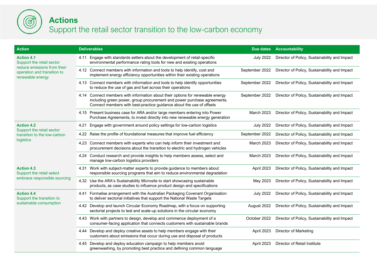

#### **Actions** Support the retail sector transition to the low-carbon economy

| <b>Action</b>                                                                                                                    | <b>Deliverables</b>                                                                                                                                                                                                               | Due dates        | <b>Accountability</b>                         |
|----------------------------------------------------------------------------------------------------------------------------------|-----------------------------------------------------------------------------------------------------------------------------------------------------------------------------------------------------------------------------------|------------------|-----------------------------------------------|
| <b>Action 4.1</b><br>Support the retail sector<br>reduce emissions from their<br>operation and transition to<br>renewable energy | 4.11 Engage with standards setters about the development of retail-specific<br>environmental performance rating tools for new and existing operations                                                                             | <b>July 2022</b> | Director of Policy, Sustainability and Impact |
|                                                                                                                                  | 4.12 Connect members with information and tools to help identify, cost and<br>implement energy efficiency opportunities within their existing operations                                                                          | September 2022   | Director of Policy, Sustainability and Impact |
|                                                                                                                                  | 4.13 Connect members with information and tools to help identify opportunities<br>to reduce the use of gas and fuel across their operations                                                                                       | September 2022   | Director of Policy, Sustainability and Impact |
|                                                                                                                                  | 4.14 Connect members with information about their options for renewable energy<br>including green power, group procurement and power purchase agreements.<br>Connect members with best-practice guidance about the use of offsets | September 2022   | Director of Policy, Sustainability and Impact |
|                                                                                                                                  | 4.15 Present business case for ARA and/or large members entering into Power<br>Purchase Agreements, to invest directly into new renewable energy generation                                                                       | March 2023       | Director of Policy, Sustainability and Impact |
| <b>Action 4.2</b><br>Support the retail sector                                                                                   | Engage with government around policy settings for low-carbon logistics<br>4.21                                                                                                                                                    | <b>July 2022</b> | Director of Policy, Sustainability and Impact |
| transition to the low-carbon                                                                                                     | 4.22 Raise the profile of foundational measures that improve fuel efficiency                                                                                                                                                      | September 2022   | Director of Policy, Sustainability and Impact |
| logistics                                                                                                                        | 4.23 Connect members with experts who can help inform their investment and<br>procurement decisions about the transition to electric and hydrogen vehicles                                                                        | March 2023       | Director of Policy, Sustainability and Impact |
|                                                                                                                                  | 4.24 Conduct research and provide insights to help members assess, select and<br>manage low-carbon logistics providers                                                                                                            | March 2023       | Director of Policy, Sustainability and Impact |
| <b>Action 4.3</b><br>Support the retail select<br>embrace responsible sourcing                                                   | 4.31 Work with subject-matter experts to provide guidance to members about<br>responsible sourcing programs that aim to reduce environmental degradation                                                                          | April 2023       | Director of Policy, Sustainability and Impact |
|                                                                                                                                  | 4.32 Use the ARA's Sustainability Microsite to start showcasing sustainable<br>products, as case studies to influence product design and specifications                                                                           | May 2023         | Director of Policy, Sustainability and Impact |
| <b>Action 4.4</b><br>Support the transition to<br>sustainable consumption                                                        | 4.41 Formalise arrangement with the Australian Packaging Covenant Organisation<br>to deliver sectorial initiatives that support the National Waste Targets                                                                        | <b>July 2022</b> | Director of Policy, Sustainability and Impact |
|                                                                                                                                  | 4.42 Develop and launch Circular Economy Roadmap, with a focus on supporting<br>sectorial projects to test and scale-up solutions in the circular economy                                                                         | August 2022      | Director of Policy, Sustainability and Impact |
|                                                                                                                                  | 4.43 Work with partners to design, develop and commence deployment of a<br>consumer-facing application that connects customers with sustainable brands                                                                            | October 2022     | Director of Policy, Sustainability and Impact |
|                                                                                                                                  | 4.44 Develop and deploy creative assets to help members engage with their<br>customers about emissions that occur during use and disposal of products                                                                             | April 2023       | <b>Director of Marketing</b>                  |
|                                                                                                                                  | 4.45 Develop and deploy education campaign to help members avoid<br>greenwashing, by promoting best practice and defining common language                                                                                         | April 2023       | Director of Retail Institute                  |